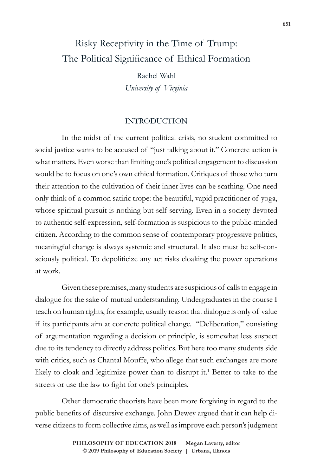# Risky Receptivity in the Time of Trump: The Political Significance of Ethical Formation

Rachel Wahl *University of Virginia*

#### INTRODUCTION

In the midst of the current political crisis, no student committed to social justice wants to be accused of "just talking about it." Concrete action is what matters. Even worse than limiting one's political engagement to discussion would be to focus on one's own ethical formation. Critiques of those who turn their attention to the cultivation of their inner lives can be scathing. One need only think of a common satiric trope: the beautiful, vapid practitioner of yoga, whose spiritual pursuit is nothing but self-serving. Even in a society devoted to authentic self-expression, self-formation is suspicious to the public-minded citizen. According to the common sense of contemporary progressive politics, meaningful change is always systemic and structural. It also must be self-consciously political. To depoliticize any act risks cloaking the power operations at work.

Given these premises, many students are suspicious of calls to engage in dialogue for the sake of mutual understanding. Undergraduates in the course I teach on human rights, for example, usually reason that dialogue is only of value if its participants aim at concrete political change. "Deliberation," consisting of argumentation regarding a decision or principle, is somewhat less suspect due to its tendency to directly address politics. But here too many students side with critics, such as Chantal Mouffe, who allege that such exchanges are more likely to cloak and legitimize power than to disrupt it.<sup>1</sup> Better to take to the streets or use the law to fight for one's principles.

Other democratic theorists have been more forgiving in regard to the public benefits of discursive exchange. John Dewey argued that it can help diverse citizens to form collective aims, as well as improve each person's judgment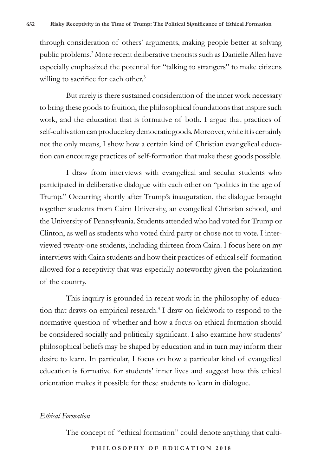through consideration of others' arguments, making people better at solving public problems.<sup>2</sup> More recent deliberative theorists such as Danielle Allen have especially emphasized the potential for "talking to strangers" to make citizens willing to sacrifice for each other.<sup>3</sup>

But rarely is there sustained consideration of the inner work necessary to bring these goods to fruition, the philosophical foundations that inspire such work, and the education that is formative of both. I argue that practices of self-cultivation can produce key democratic goods. Moreover, while it is certainly not the only means, I show how a certain kind of Christian evangelical education can encourage practices of self-formation that make these goods possible.

I draw from interviews with evangelical and secular students who participated in deliberative dialogue with each other on "politics in the age of Trump." Occurring shortly after Trump's inauguration, the dialogue brought together students from Cairn University, an evangelical Christian school, and the University of Pennsylvania. Students attended who had voted for Trump or Clinton, as well as students who voted third party or chose not to vote. I interviewed twenty-one students, including thirteen from Cairn. I focus here on my interviews with Cairn students and how their practices of ethical self-formation allowed for a receptivity that was especially noteworthy given the polarization of the country.

This inquiry is grounded in recent work in the philosophy of education that draws on empirical research.<sup>4</sup> I draw on fieldwork to respond to the normative question of whether and how a focus on ethical formation should be considered socially and politically significant. I also examine how students' philosophical beliefs may be shaped by education and in turn may inform their desire to learn. In particular, I focus on how a particular kind of evangelical education is formative for students' inner lives and suggest how this ethical orientation makes it possible for these students to learn in dialogue.

#### *Ethical Formation*

The concept of "ethical formation" could denote anything that culti-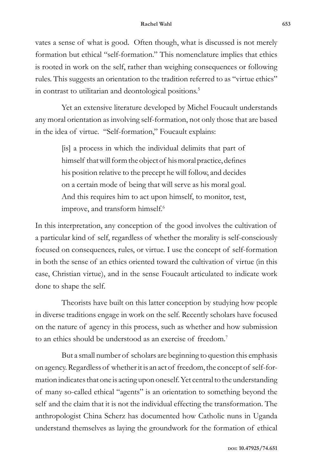vates a sense of what is good. Often though, what is discussed is not merely formation but ethical "self-formation." This nomenclature implies that ethics is rooted in work on the self, rather than weighing consequences or following rules. This suggests an orientation to the tradition referred to as "virtue ethics" in contrast to utilitarian and deontological positions.<sup>5</sup>

Yet an extensive literature developed by Michel Foucault understands any moral orientation as involving self-formation, not only those that are based in the idea of virtue. "Self-formation," Foucault explains:

> [is] a process in which the individual delimits that part of himself that will form the object of his moral practice, defines his position relative to the precept he will follow, and decides on a certain mode of being that will serve as his moral goal. And this requires him to act upon himself, to monitor, test, improve, and transform himself.<sup>6</sup>

In this interpretation, any conception of the good involves the cultivation of a particular kind of self, regardless of whether the morality is self-consciously focused on consequences, rules, or virtue. I use the concept of self-formation in both the sense of an ethics oriented toward the cultivation of virtue (in this case, Christian virtue), and in the sense Foucault articulated to indicate work done to shape the self.

Theorists have built on this latter conception by studying how people in diverse traditions engage in work on the self. Recently scholars have focused on the nature of agency in this process, such as whether and how submission to an ethics should be understood as an exercise of freedom.<sup>7</sup>

But a small number of scholars are beginning to question this emphasis on agency. Regardless of whether it is an act of freedom, the concept of self-formation indicates that one is acting upon oneself. Yet central to the understanding of many so-called ethical "agents" is an orientation to something beyond the self and the claim that it is not the individual effecting the transformation. The anthropologist China Scherz has documented how Catholic nuns in Uganda understand themselves as laying the groundwork for the formation of ethical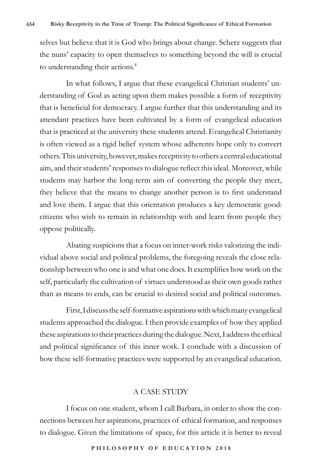selves but believe that it is God who brings about change. Scherz suggests that the nuns' capacity to open themselves to something beyond the will is crucial to understanding their actions.<sup>8</sup>

In what follows, I argue that these evangelical Christian students' understanding of God as acting upon them makes possible a form of receptivity that is beneficial for democracy. I argue further that this understanding and its attendant practices have been cultivated by a form of evangelical education that is practiced at the university these students attend. Evangelical Christianity is often viewed as a rigid belief system whose adherents hope only to convert others. This university, however, makes receptivity to others a central educational aim, and their students' responses to dialogue reflect this ideal. Moreover, while students may harbor the long-term aim of converting the people they meet, they believe that the means to change another person is to first understand and love them. I argue that this orientation produces a key democratic good: citizens who wish to remain in relationship with and learn from people they oppose politically.

Abating suspicions that a focus on inner-work risks valorizing the individual above social and political problems, the foregoing reveals the close relationship between who one is and what one does. It exemplifies how work on the self, particularly the cultivation of virtues understood as their own goods rather than as means to ends, can be crucial to desired social and political outcomes.

First, I discuss the self-formative aspirations with which many evangelical students approached the dialogue. I then provide examples of how they applied these aspirations to their practices during the dialogue. Next, I address the ethical and political significance of this inner work. I conclude with a discussion of how these self-formative practices were supported by an evangelical education.

#### A CASE STUDY

I focus on one student, whom I call Barbara, in order to show the connections between her aspirations, practices of ethical formation, and responses to dialogue. Given the limitations of space, for this article it is better to reveal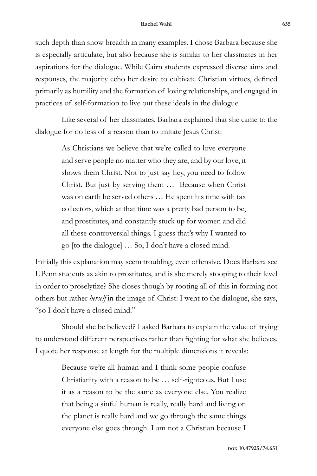such depth than show breadth in many examples. I chose Barbara because she is especially articulate, but also because she is similar to her classmates in her aspirations for the dialogue. While Cairn students expressed diverse aims and responses, the majority echo her desire to cultivate Christian virtues, defined primarily as humility and the formation of loving relationships, and engaged in practices of self-formation to live out these ideals in the dialogue.

Like several of her classmates, Barbara explained that she came to the dialogue for no less of a reason than to imitate Jesus Christ:

> As Christians we believe that we're called to love everyone and serve people no matter who they are, and by our love, it shows them Christ. Not to just say hey, you need to follow Christ. But just by serving them … Because when Christ was on earth he served others … He spent his time with tax collectors, which at that time was a pretty bad person to be, and prostitutes, and constantly stuck up for women and did all these controversial things. I guess that's why I wanted to go [to the dialogue] … So, I don't have a closed mind.

Initially this explanation may seem troubling, even offensive. Does Barbara see UPenn students as akin to prostitutes, and is she merely stooping to their level in order to proselytize? She closes though by rooting all of this in forming not others but rather *herself* in the image of Christ: I went to the dialogue, she says, "so I don't have a closed mind."

Should she be believed? I asked Barbara to explain the value of trying to understand different perspectives rather than fighting for what she believes. I quote her response at length for the multiple dimensions it reveals:

> Because we're all human and I think some people confuse Christianity with a reason to be … self-righteous. But I use it as a reason to be the same as everyone else. You realize that being a sinful human is really, really hard and living on the planet is really hard and we go through the same things everyone else goes through. I am not a Christian because I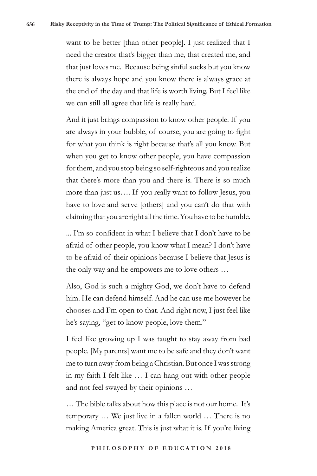want to be better [than other people]. I just realized that I need the creator that's bigger than me, that created me, and that just loves me. Because being sinful sucks but you know there is always hope and you know there is always grace at the end of the day and that life is worth living. But I feel like we can still all agree that life is really hard.

And it just brings compassion to know other people. If you are always in your bubble, of course, you are going to fight for what you think is right because that's all you know. But when you get to know other people, you have compassion for them, and you stop being so self-righteous and you realize that there's more than you and there is. There is so much more than just us…. If you really want to follow Jesus, you have to love and serve [others] and you can't do that with claiming that you are right all the time. You have to be humble.

... I'm so confident in what I believe that I don't have to be afraid of other people, you know what I mean? I don't have to be afraid of their opinions because I believe that Jesus is the only way and he empowers me to love others …

Also, God is such a mighty God, we don't have to defend him. He can defend himself. And he can use me however he chooses and I'm open to that. And right now, I just feel like he's saying, "get to know people, love them."

I feel like growing up I was taught to stay away from bad people. [My parents] want me to be safe and they don't want me to turn away from being a Christian. But once I was strong in my faith I felt like … I can hang out with other people and not feel swayed by their opinions …

… The bible talks about how this place is not our home. It's temporary … We just live in a fallen world … There is no making America great. This is just what it is. If you're living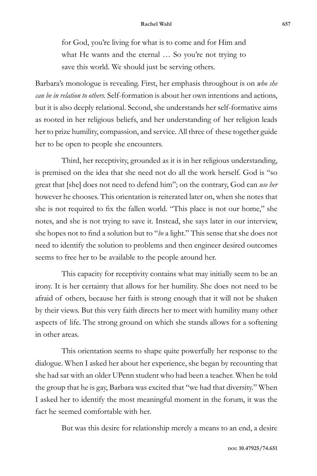for God, you're living for what is to come and for Him and what He wants and the eternal ... So you're not trying to save this world. We should just be serving others.

Barbara's monologue is revealing. First, her emphasis throughout is on *who she can be in relation to others.* Self-formation is about her own intentions and actions, but it is also deeply relational. Second, she understands her self-formative aims as rooted in her religious beliefs, and her understanding of her religion leads her to prize humility, compassion, and service. All three of these together guide her to be open to people she encounters.

Third, her receptivity, grounded as it is in her religious understanding, is premised on the idea that she need not do all the work herself. God is "so great that [she] does not need to defend him"; on the contrary, God can *use her* however he chooses. This orientation is reiterated later on, when she notes that she is not required to fix the fallen world. "This place is not our home," she notes, and she is not trying to save it. Instead, she says later in our interview, she hopes not to find a solution but to "*be* a light." This sense that she does not need to identify the solution to problems and then engineer desired outcomes seems to free her to be available to the people around her.

This capacity for receptivity contains what may initially seem to be an irony. It is her certainty that allows for her humility. She does not need to be afraid of others, because her faith is strong enough that it will not be shaken by their views. But this very faith directs her to meet with humility many other aspects of life. The strong ground on which she stands allows for a softening in other areas.

This orientation seems to shape quite powerfully her response to the dialogue. When I asked her about her experience, she began by recounting that she had sat with an older UPenn student who had been a teacher. When he told the group that he is gay, Barbara was excited that "we had that diversity." When I asked her to identify the most meaningful moment in the forum, it was the fact he seemed comfortable with her.

But was this desire for relationship merely a means to an end, a desire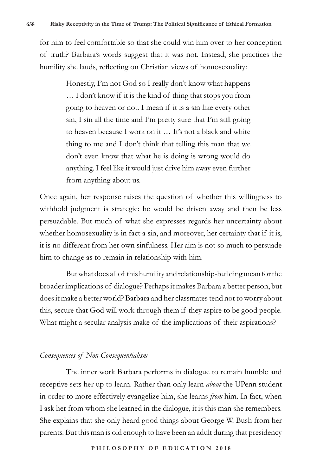for him to feel comfortable so that she could win him over to her conception of truth? Barbara's words suggest that it was not. Instead, she practices the humility she lauds, reflecting on Christian views of homosexuality:

> Honestly, I'm not God so I really don't know what happens … I don't know if it is the kind of thing that stops you from going to heaven or not. I mean if it is a sin like every other sin, I sin all the time and I'm pretty sure that I'm still going to heaven because I work on it … It's not a black and white thing to me and I don't think that telling this man that we don't even know that what he is doing is wrong would do anything. I feel like it would just drive him away even further from anything about us.

Once again, her response raises the question of whether this willingness to withhold judgment is strategic: he would be driven away and then be less persuadable. But much of what she expresses regards her uncertainty about whether homosexuality is in fact a sin, and moreover, her certainty that if it is, it is no different from her own sinfulness. Her aim is not so much to persuade him to change as to remain in relationship with him.

But what does all of this humility and relationship-building mean for the broader implications of dialogue? Perhaps it makes Barbara a better person, but does it make a better world? Barbara and her classmates tend not to worry about this, secure that God will work through them if they aspire to be good people. What might a secular analysis make of the implications of their aspirations?

### *Consequences of Non-Consequentialism*

The inner work Barbara performs in dialogue to remain humble and receptive sets her up to learn. Rather than only learn *about* the UPenn student in order to more effectively evangelize him, she learns *from* him. In fact, when I ask her from whom she learned in the dialogue, it is this man she remembers. She explains that she only heard good things about George W. Bush from her parents. But this man is old enough to have been an adult during that presidency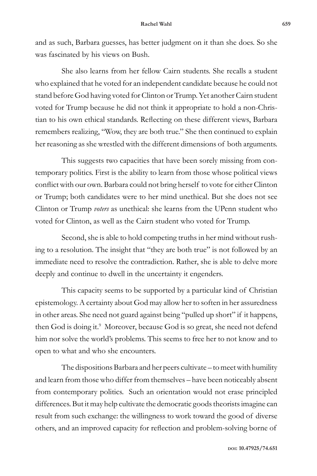and as such, Barbara guesses, has better judgment on it than she does. So she was fascinated by his views on Bush.

She also learns from her fellow Cairn students. She recalls a student who explained that he voted for an independent candidate because he could not stand before God having voted for Clinton or Trump. Yet another Cairn student voted for Trump because he did not think it appropriate to hold a non-Christian to his own ethical standards. Reflecting on these different views, Barbara remembers realizing, "Wow, they are both true." She then continued to explain her reasoning as she wrestled with the different dimensions of both arguments.

This suggests two capacities that have been sorely missing from contemporary politics. First is the ability to learn from those whose political views conflict with our own. Barbara could not bring herself to vote for either Clinton or Trump; both candidates were to her mind unethical. But she does not see Clinton or Trump *voters* as unethical: she learns from the UPenn student who voted for Clinton, as well as the Cairn student who voted for Trump.

Second, she is able to hold competing truths in her mind without rushing to a resolution. The insight that "they are both true" is not followed by an immediate need to resolve the contradiction. Rather, she is able to delve more deeply and continue to dwell in the uncertainty it engenders.

This capacity seems to be supported by a particular kind of Christian epistemology. A certainty about God may allow her to soften in her assuredness in other areas. She need not guard against being "pulled up short" if it happens, then God is doing it.<sup>9</sup> Moreover, because God is so great, she need not defend him nor solve the world's problems. This seems to free her to not know and to open to what and who she encounters.

The dispositions Barbara and her peers cultivate – to meet with humility and learn from those who differ from themselves – have been noticeably absent from contemporary politics. Such an orientation would not erase principled differences. But it may help cultivate the democratic goods theorists imagine can result from such exchange: the willingness to work toward the good of diverse others, and an improved capacity for reflection and problem-solving borne of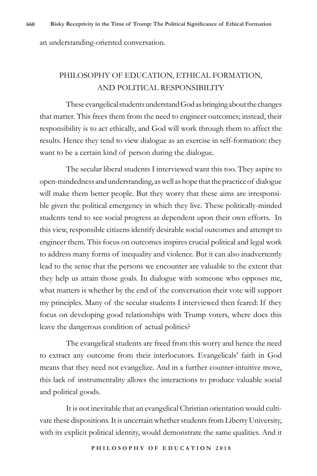an understanding-oriented conversation.

## PHILOSOPHY OF EDUCATION, ETHICAL FORMATION, AND POLITICAL RESPONSIBILITY

These evangelical students understand God as bringing about the changes that matter. This frees them from the need to engineer outcomes; instead, their responsibility is to act ethically, and God will work through them to affect the results. Hence they tend to view dialogue as an exercise in self-formation: they want to be a certain kind of person during the dialogue.

The secular liberal students I interviewed want this too. They aspire to open-mindedness and understanding, as well as hope that the practice of dialogue will make them better people. But they worry that these aims are irresponsible given the political emergency in which they live. These politically-minded students tend to see social progress as dependent upon their own efforts. In this view, responsible citizens identify desirable social outcomes and attempt to engineer them. This focus on outcomes inspires crucial political and legal work to address many forms of inequality and violence. But it can also inadvertently lead to the sense that the persons we encounter are valuable to the extent that they help us attain those goals. In dialogue with someone who opposes me, what matters is whether by the end of the conversation their vote will support my principles. Many of the secular students I interviewed then feared: If they focus on developing good relationships with Trump voters, where does this leave the dangerous condition of actual politics?

The evangelical students are freed from this worry and hence the need to extract any outcome from their interlocutors. Evangelicals' faith in God means that they need not evangelize. And in a further counter-intuitive move, this lack of instrumentality allows the interactions to produce valuable social and political goods.

It is not inevitable that an evangelical Christian orientation would cultivate these dispositions. It is uncertain whether students from Liberty University, with its explicit political identity, would demonstrate the same qualities. And it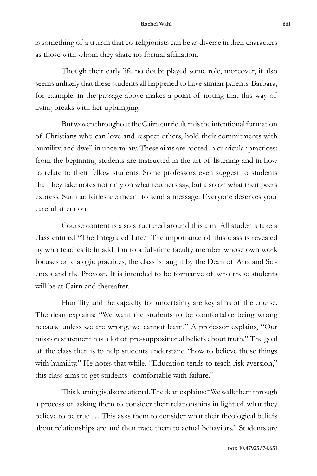is something of a truism that co-religionists can be as diverse in their characters as those with whom they share no formal affiliation.

Though their early life no doubt played some role, moreover, it also seems unlikely that these students all happened to have similar parents. Barbara, for example, in the passage above makes a point of noting that this way of living breaks with her upbringing.

But woven throughout the Cairn curriculum is the intentional formation of Christians who can love and respect others, hold their commitments with humility, and dwell in uncertainty. These aims are rooted in curricular practices: from the beginning students are instructed in the art of listening and in how to relate to their fellow students. Some professors even suggest to students that they take notes not only on what teachers say, but also on what their peers express. Such activities are meant to send a message: Everyone deserves your careful attention.

Course content is also structured around this aim. All students take a class entitled "The Integrated Life." The importance of this class is revealed by who teaches it: in addition to a full-time faculty member whose own work focuses on dialogic practices, the class is taught by the Dean of Arts and Sciences and the Provost. It is intended to be formative of who these students will be at Cairn and thereafter.

Humility and the capacity for uncertainty are key aims of the course. The dean explains: "We want the students to be comfortable being wrong because unless we are wrong, we cannot learn." A professor explains, "Our mission statement has a lot of pre-suppositional beliefs about truth." The goal of the class then is to help students understand "how to believe those things with humility." He notes that while, "Education tends to teach risk aversion," this class aims to get students "comfortable with failure."

This learning is also relational. The dean explains: "We walk them through a process of asking them to consider their relationships in light of what they believe to be true … This asks them to consider what their theological beliefs about relationships are and then trace them to actual behaviors." Students are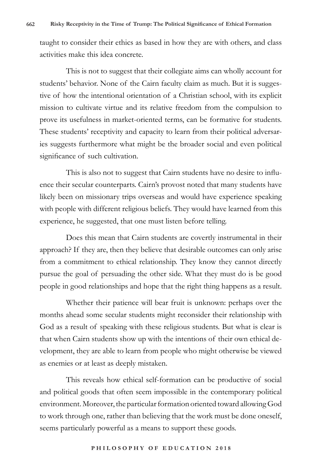taught to consider their ethics as based in how they are with others, and class activities make this idea concrete.

This is not to suggest that their collegiate aims can wholly account for students' behavior. None of the Cairn faculty claim as much. But it is suggestive of how the intentional orientation of a Christian school, with its explicit mission to cultivate virtue and its relative freedom from the compulsion to prove its usefulness in market-oriented terms, can be formative for students. These students' receptivity and capacity to learn from their political adversaries suggests furthermore what might be the broader social and even political significance of such cultivation.

This is also not to suggest that Cairn students have no desire to influence their secular counterparts. Cairn's provost noted that many students have likely been on missionary trips overseas and would have experience speaking with people with different religious beliefs. They would have learned from this experience, he suggested, that one must listen before telling.

Does this mean that Cairn students are covertly instrumental in their approach? If they are, then they believe that desirable outcomes can only arise from a commitment to ethical relationship. They know they cannot directly pursue the goal of persuading the other side. What they must do is be good people in good relationships and hope that the right thing happens as a result.

Whether their patience will bear fruit is unknown: perhaps over the months ahead some secular students might reconsider their relationship with God as a result of speaking with these religious students. But what is clear is that when Cairn students show up with the intentions of their own ethical development, they are able to learn from people who might otherwise be viewed as enemies or at least as deeply mistaken.

This reveals how ethical self-formation can be productive of social and political goods that often seem impossible in the contemporary political environment. Moreover, the particular formation oriented toward allowing God to work through one, rather than believing that the work must be done oneself, seems particularly powerful as a means to support these goods.